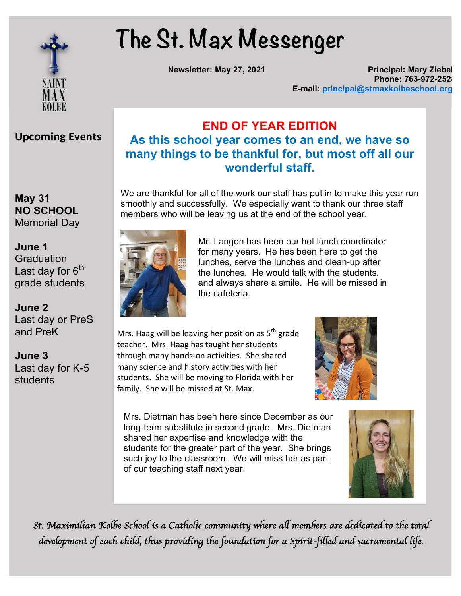

# **The St. Max Messenger**

**Newsletter: May 27, 2021 Principal: Mary Ziebell Phone: 763-972-252 E-mail: principal@stmaxkolbeschool.org**

## **Upcoming Events**

**May 31 NO SCHOOL Memorial Day** 

**September 1 S**raduation **Sept. 18** grade students **2-hour late start** Last day for  $6<sup>th</sup>$ 

**Sunc**<br>Lest.dev.or **Fast day of T**<br>and PreK **Standardized testing June 2** Last day or PreS

**Sune 3**<br>Dune 3 Last day for K-5 **BENEDICTION June 3** students

#### **END OF YEAR EDITION As this school year comes to an end, we have so many things to be thankful for, but most off all our wonderful staff.**

We are thankful for all of the work our staff has put in to make this year run smoothly and successfully. We especially want to thank our three staff members who will be leaving us at the end of the school year.



Mr. Langen has been our hot lunch coordinator for many years. He has been here to get the lunches, serve the lunches and clean-up after the lunches. He would talk with the students, and always share a smile. He will be missed in the cafeteria.

Mrs. Haag will be leaving her position as  $5<sup>th</sup>$  grade teacher. Mrs. Haag has taught her students through many hands-on activities. She shared many science and history activities with her students. She will be moving to Florida with her family. She will be missed at St. Max.



Mrs. Dietman has been here since December as our long-term substitute in second grade. Mrs. Dietman shared her expertise and knowledge with the students for the greater part of the year. She brings such joy to the classroom. We will miss her as part of our teaching staff next year.



*St. Maximilian Kolbe School is a Catholic community where all members are dedicated to the total development of each child, thus providing the foundation for a Spirit-filled and sacramental life.*